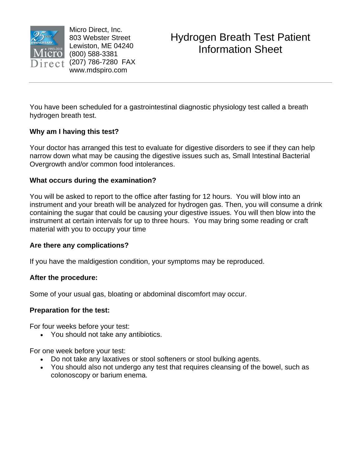

Micro Direct, Inc. 803 Webster Street Lewiston, ME 04240 (800) 588-3381  $e^{t}$  (207) 786-7280 FAX www.mdspiro.com

You have been scheduled for a gastrointestinal diagnostic physiology test called a breath hydrogen breath test.

# **Why am I having this test?**

Your doctor has arranged this test to evaluate for digestive disorders to see if they can help narrow down what may be causing the digestive issues such as, Small Intestinal Bacterial Overgrowth and/or common food intolerances.

# **What occurs during the examination?**

You will be asked to report to the office after fasting for 12 hours. You will blow into an instrument and your breath will be analyzed for hydrogen gas. Then, you will consume a drink containing the sugar that could be causing your digestive issues. You will then blow into the instrument at certain intervals for up to three hours. You may bring some reading or craft material with you to occupy your time

# **Are there any complications?**

If you have the maldigestion condition, your symptoms may be reproduced.

# **After the procedure:**

Some of your usual gas, bloating or abdominal discomfort may occur.

# **Preparation for the test:**

For four weeks before your test:

• You should not take any antibiotics.

For one week before your test:

- Do not take any laxatives or stool softeners or stool bulking agents.
- You should also not undergo any test that requires cleansing of the bowel, such as colonoscopy or barium enema.